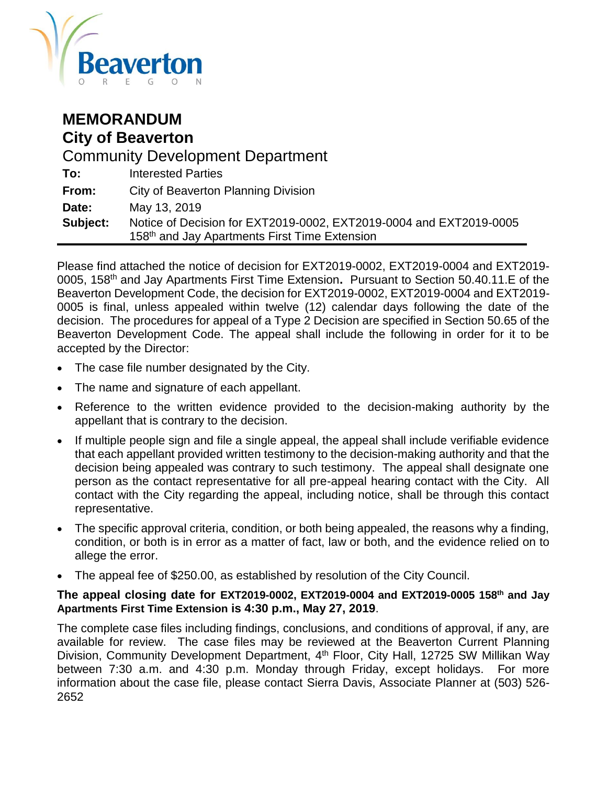

## **MEMORANDUM City of Beaverton** Community Development Department **To:** Interested Parties **From:** City of Beaverton Planning Division **Date:** May 13, 2019 **Subject:** Notice of Decision for EXT2019-0002, EXT2019-0004 and EXT2019-0005 158<sup>th</sup> and Jay Apartments First Time Extension

Please find attached the notice of decision for EXT2019-0002, EXT2019-0004 and EXT2019- 0005, 158th and Jay Apartments First Time Extension**.** Pursuant to Section 50.40.11.E of the Beaverton Development Code, the decision for EXT2019-0002, EXT2019-0004 and EXT2019- 0005 is final, unless appealed within twelve (12) calendar days following the date of the decision. The procedures for appeal of a Type 2 Decision are specified in Section 50.65 of the Beaverton Development Code. The appeal shall include the following in order for it to be accepted by the Director:

- The case file number designated by the City.
- The name and signature of each appellant.
- Reference to the written evidence provided to the decision-making authority by the appellant that is contrary to the decision.
- If multiple people sign and file a single appeal, the appeal shall include verifiable evidence that each appellant provided written testimony to the decision-making authority and that the decision being appealed was contrary to such testimony. The appeal shall designate one person as the contact representative for all pre-appeal hearing contact with the City. All contact with the City regarding the appeal, including notice, shall be through this contact representative.
- The specific approval criteria, condition, or both being appealed, the reasons why a finding, condition, or both is in error as a matter of fact, law or both, and the evidence relied on to allege the error.
- The appeal fee of \$250.00, as established by resolution of the City Council.

### **The appeal closing date for EXT2019-0002, EXT2019-0004 and EXT2019-0005 158th and Jay Apartments First Time Extension is 4:30 p.m., May 27, 2019**.

The complete case files including findings, conclusions, and conditions of approval, if any, are available for review. The case files may be reviewed at the Beaverton Current Planning Division, Community Development Department, 4<sup>th</sup> Floor, City Hall, 12725 SW Millikan Way between 7:30 a.m. and 4:30 p.m. Monday through Friday, except holidays. For more information about the case file, please contact Sierra Davis, Associate Planner at (503) 526- 2652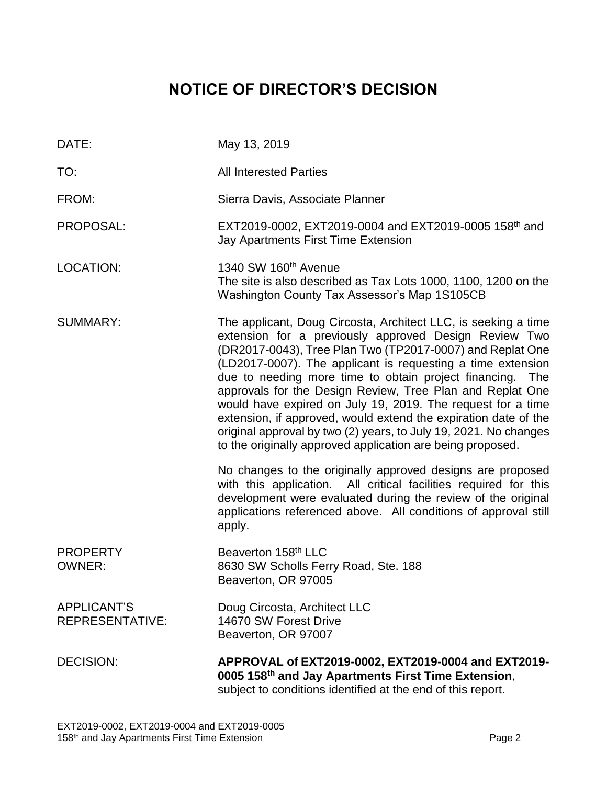# **NOTICE OF DIRECTOR'S DECISION**

| DATE:                                        | May 13, 2019                                                                                                                                                                                                                                                                                                                                                                                                                                                                                                                                                                                                                                      |
|----------------------------------------------|---------------------------------------------------------------------------------------------------------------------------------------------------------------------------------------------------------------------------------------------------------------------------------------------------------------------------------------------------------------------------------------------------------------------------------------------------------------------------------------------------------------------------------------------------------------------------------------------------------------------------------------------------|
| TO:                                          | <b>All Interested Parties</b>                                                                                                                                                                                                                                                                                                                                                                                                                                                                                                                                                                                                                     |
| FROM:                                        | Sierra Davis, Associate Planner                                                                                                                                                                                                                                                                                                                                                                                                                                                                                                                                                                                                                   |
| PROPOSAL:                                    | EXT2019-0002, EXT2019-0004 and EXT2019-0005 158th and<br>Jay Apartments First Time Extension                                                                                                                                                                                                                                                                                                                                                                                                                                                                                                                                                      |
| <b>LOCATION:</b>                             | 1340 SW 160 <sup>th</sup> Avenue<br>The site is also described as Tax Lots 1000, 1100, 1200 on the<br>Washington County Tax Assessor's Map 1S105CB                                                                                                                                                                                                                                                                                                                                                                                                                                                                                                |
| <b>SUMMARY:</b>                              | The applicant, Doug Circosta, Architect LLC, is seeking a time<br>extension for a previously approved Design Review Two<br>(DR2017-0043), Tree Plan Two (TP2017-0007) and Replat One<br>(LD2017-0007). The applicant is requesting a time extension<br>due to needing more time to obtain project financing. The<br>approvals for the Design Review, Tree Plan and Replat One<br>would have expired on July 19, 2019. The request for a time<br>extension, if approved, would extend the expiration date of the<br>original approval by two (2) years, to July 19, 2021. No changes<br>to the originally approved application are being proposed. |
|                                              | No changes to the originally approved designs are proposed<br>with this application. All critical facilities required for this<br>development were evaluated during the review of the original<br>applications referenced above. All conditions of approval still<br>apply.                                                                                                                                                                                                                                                                                                                                                                       |
| <b>PROPERTY</b><br><b>OWNER:</b>             | Beaverton 158 <sup>th</sup> LLC<br>8630 SW Scholls Ferry Road, Ste. 188<br>Beaverton, OR 97005                                                                                                                                                                                                                                                                                                                                                                                                                                                                                                                                                    |
| <b>APPLICANT'S</b><br><b>REPRESENTATIVE:</b> | Doug Circosta, Architect LLC<br>14670 SW Forest Drive<br>Beaverton, OR 97007                                                                                                                                                                                                                                                                                                                                                                                                                                                                                                                                                                      |
| <b>DECISION:</b>                             | APPROVAL of EXT2019-0002, EXT2019-0004 and EXT2019-<br>0005 158th and Jay Apartments First Time Extension,<br>subject to conditions identified at the end of this report.                                                                                                                                                                                                                                                                                                                                                                                                                                                                         |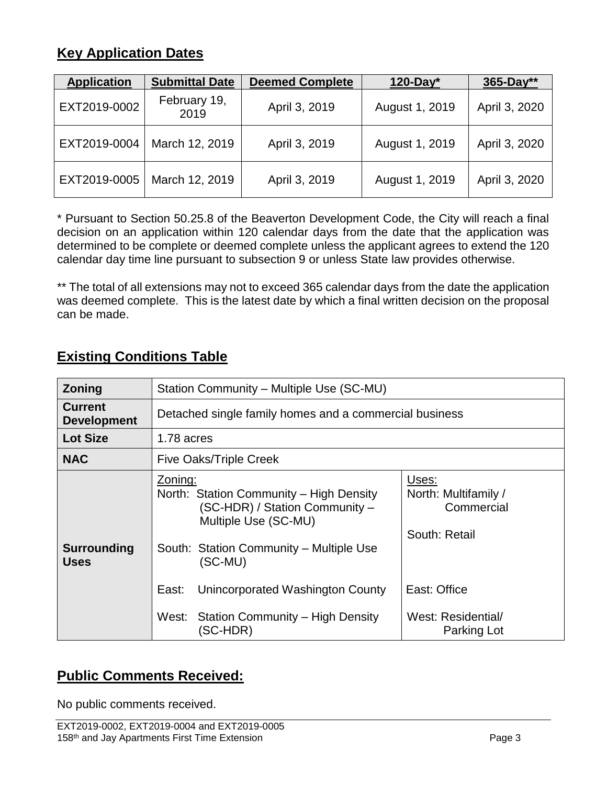## **Key Application Dates**

| <b>Application</b> | <b>Submittal Date</b> | <b>Deemed Complete</b> | $120$ -Day*    | $365 - Day**$ |
|--------------------|-----------------------|------------------------|----------------|---------------|
| EXT2019-0002       | February 19,<br>2019  | April 3, 2019          | August 1, 2019 | April 3, 2020 |
| EXT2019-0004       | March 12, 2019        | April 3, 2019          | August 1, 2019 | April 3, 2020 |
| EXT2019-0005       | March 12, 2019        | April 3, 2019          | August 1, 2019 | April 3, 2020 |

\* Pursuant to Section 50.25.8 of the Beaverton Development Code, the City will reach a final decision on an application within 120 calendar days from the date that the application was determined to be complete or deemed complete unless the applicant agrees to extend the 120 calendar day time line pursuant to subsection 9 or unless State law provides otherwise.

\*\* The total of all extensions may not to exceed 365 calendar days from the date the application was deemed complete. This is the latest date by which a final written decision on the proposal can be made.

## **Existing Conditions Table**

| Zoning                               | Station Community - Multiple Use (SC-MU)                                                                                                                                                                          |                                                                              |  |  |
|--------------------------------------|-------------------------------------------------------------------------------------------------------------------------------------------------------------------------------------------------------------------|------------------------------------------------------------------------------|--|--|
| <b>Current</b><br><b>Development</b> | Detached single family homes and a commercial business                                                                                                                                                            |                                                                              |  |  |
| <b>Lot Size</b>                      | 1.78 acres                                                                                                                                                                                                        |                                                                              |  |  |
| <b>NAC</b>                           | <b>Five Oaks/Triple Creek</b>                                                                                                                                                                                     |                                                                              |  |  |
| <b>Surrounding</b><br><b>Uses</b>    | Zoning:<br>North: Station Community - High Density<br>(SC-HDR) / Station Community -<br>Multiple Use (SC-MU)<br>South: Station Community - Multiple Use<br>$(SC-MU)$<br>Unincorporated Washington County<br>East: | Uses:<br>North: Multifamily /<br>Commercial<br>South: Retail<br>East: Office |  |  |
|                                      | West: Station Community - High Density<br>(SC-HDR)                                                                                                                                                                | West: Residential/<br>Parking Lot                                            |  |  |

## **Public Comments Received:**

No public comments received.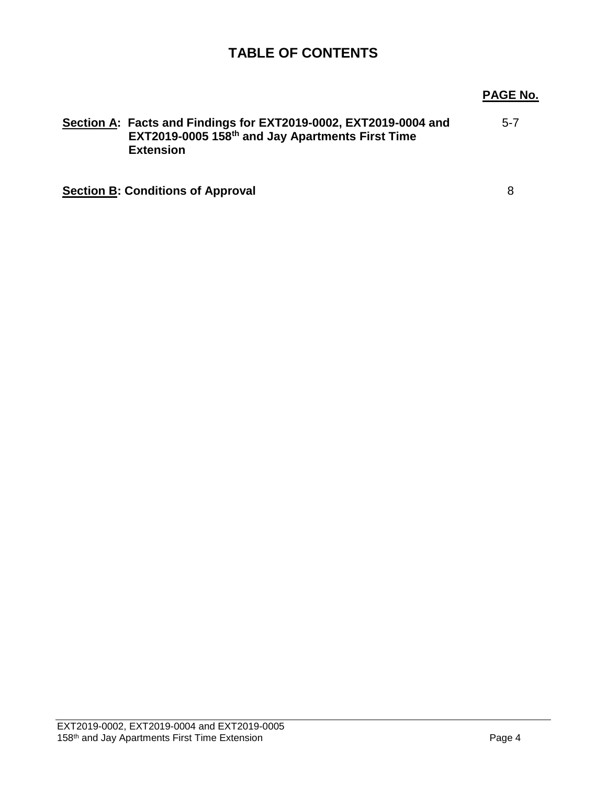## **TABLE OF CONTENTS**

## **PAGE No.**

| Section A: Facts and Findings for EXT2019-0002, EXT2019-0004 and<br>EXT2019-0005 158th and Jay Apartments First Time<br><b>Extension</b> | $5 - 7$ |
|------------------------------------------------------------------------------------------------------------------------------------------|---------|
| <b>Section B: Conditions of Approval</b>                                                                                                 | 8       |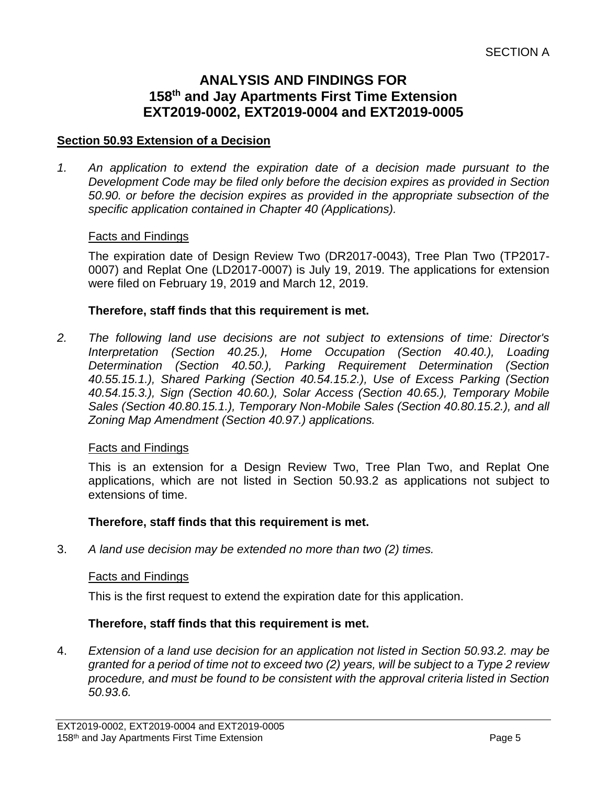## **ANALYSIS AND FINDINGS FOR 158th and Jay Apartments First Time Extension EXT2019-0002, EXT2019-0004 and EXT2019-0005**

### **Section 50.93 Extension of a Decision**

*1. An application to extend the expiration date of a decision made pursuant to the Development Code may be filed only before the decision expires as provided in Section 50.90. or before the decision expires as provided in the appropriate subsection of the specific application contained in Chapter 40 (Applications).*

#### Facts and Findings

The expiration date of Design Review Two (DR2017-0043), Tree Plan Two (TP2017- 0007) and Replat One (LD2017-0007) is July 19, 2019. The applications for extension were filed on February 19, 2019 and March 12, 2019.

#### **Therefore, staff finds that this requirement is met.**

*2. The following land use decisions are not subject to extensions of time: Director's Interpretation (Section 40.25.), Home Occupation (Section 40.40.), Loading Determination (Section 40.50.), Parking Requirement Determination (Section 40.55.15.1.), Shared Parking (Section 40.54.15.2.), Use of Excess Parking (Section 40.54.15.3.), Sign (Section 40.60.), Solar Access (Section 40.65.), Temporary Mobile Sales (Section 40.80.15.1.), Temporary Non-Mobile Sales (Section 40.80.15.2.), and all Zoning Map Amendment (Section 40.97.) applications.*

#### Facts and Findings

This is an extension for a Design Review Two, Tree Plan Two, and Replat One applications, which are not listed in Section 50.93.2 as applications not subject to extensions of time.

#### **Therefore, staff finds that this requirement is met.**

3. *A land use decision may be extended no more than two (2) times.*

#### Facts and Findings

This is the first request to extend the expiration date for this application.

#### **Therefore, staff finds that this requirement is met.**

4. *Extension of a land use decision for an application not listed in Section 50.93.2. may be granted for a period of time not to exceed two (2) years, will be subject to a Type 2 review procedure, and must be found to be consistent with the approval criteria listed in Section 50.93.6.*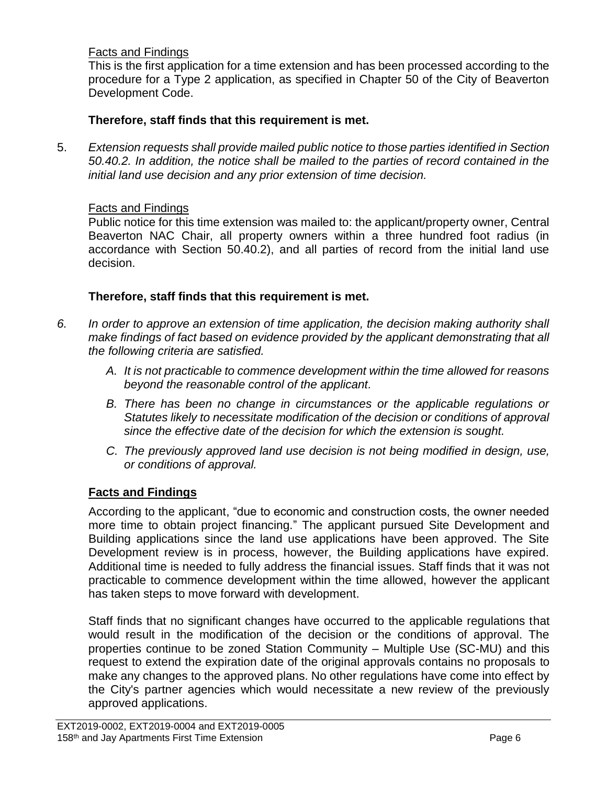## Facts and Findings

This is the first application for a time extension and has been processed according to the procedure for a Type 2 application, as specified in Chapter 50 of the City of Beaverton Development Code.

## **Therefore, staff finds that this requirement is met.**

5. *Extension requests shall provide mailed public notice to those parties identified in Section 50.40.2. In addition, the notice shall be mailed to the parties of record contained in the initial land use decision and any prior extension of time decision.*

## Facts and Findings

Public notice for this time extension was mailed to: the applicant/property owner, Central Beaverton NAC Chair, all property owners within a three hundred foot radius (in accordance with Section 50.40.2), and all parties of record from the initial land use decision.

## **Therefore, staff finds that this requirement is met.**

- *6. In order to approve an extension of time application, the decision making authority shall make findings of fact based on evidence provided by the applicant demonstrating that all the following criteria are satisfied.* 
	- *A. It is not practicable to commence development within the time allowed for reasons beyond the reasonable control of the applicant.*
	- *B. There has been no change in circumstances or the applicable regulations or Statutes likely to necessitate modification of the decision or conditions of approval since the effective date of the decision for which the extension is sought.*
	- *C. The previously approved land use decision is not being modified in design, use, or conditions of approval.*

## **Facts and Findings**

According to the applicant, "due to economic and construction costs, the owner needed more time to obtain project financing." The applicant pursued Site Development and Building applications since the land use applications have been approved. The Site Development review is in process, however, the Building applications have expired. Additional time is needed to fully address the financial issues. Staff finds that it was not practicable to commence development within the time allowed, however the applicant has taken steps to move forward with development.

Staff finds that no significant changes have occurred to the applicable regulations that would result in the modification of the decision or the conditions of approval. The properties continue to be zoned Station Community – Multiple Use (SC-MU) and this request to extend the expiration date of the original approvals contains no proposals to make any changes to the approved plans. No other regulations have come into effect by the City's partner agencies which would necessitate a new review of the previously approved applications.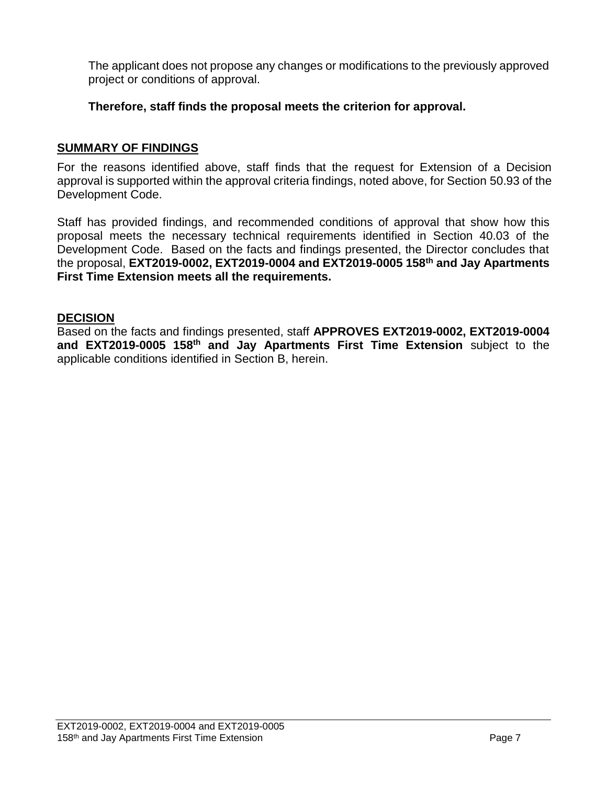The applicant does not propose any changes or modifications to the previously approved project or conditions of approval.

**Therefore, staff finds the proposal meets the criterion for approval.**

### **SUMMARY OF FINDINGS**

For the reasons identified above, staff finds that the request for Extension of a Decision approval is supported within the approval criteria findings, noted above, for Section 50.93 of the Development Code.

Staff has provided findings, and recommended conditions of approval that show how this proposal meets the necessary technical requirements identified in Section 40.03 of the Development Code. Based on the facts and findings presented, the Director concludes that the proposal, **EXT2019-0002, EXT2019-0004 and EXT2019-0005 158th and Jay Apartments First Time Extension meets all the requirements.**

## **DECISION**

Based on the facts and findings presented, staff **APPROVES EXT2019-0002, EXT2019-0004 and EXT2019-0005 158th and Jay Apartments First Time Extension** subject to the applicable conditions identified in Section B, herein.